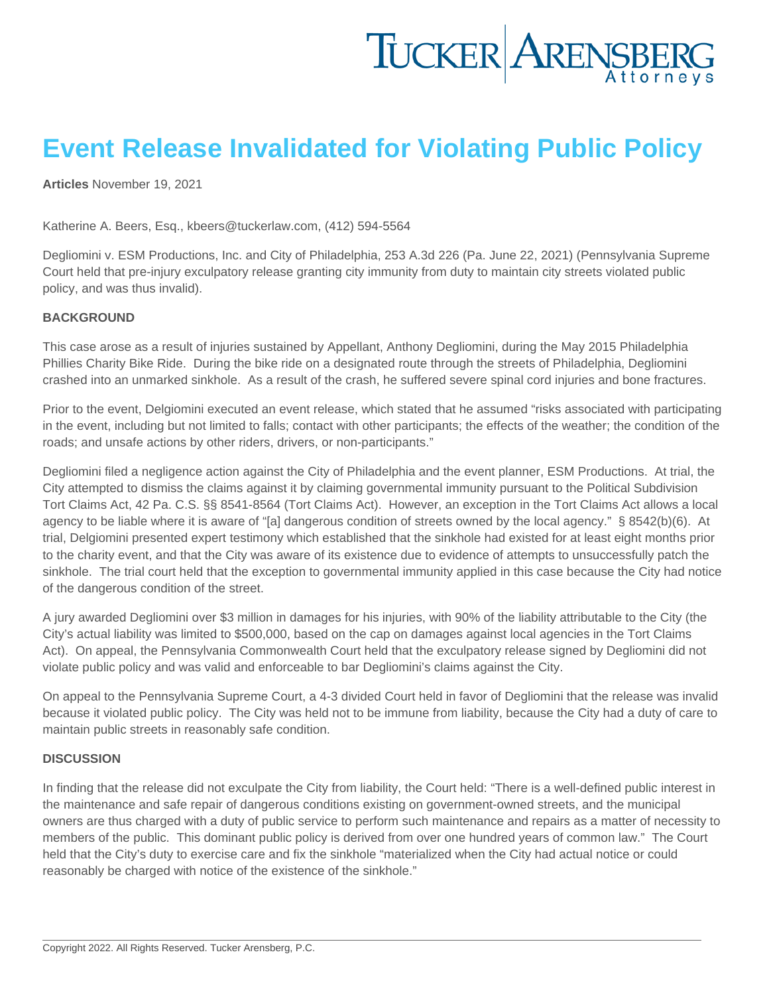# Event Release Invalidated for Violating Public Policy

[Articles](https://www.tuckerlaw.com/category/articles/) November 19, 2021

Katherine A. Beers, Esq., [kbeers@tuckerlaw.com](mailto:kbeers@tuckerlaw.com), (412) 594-5564

Degliomini v. ESM Productions, Inc. and City of Philadelphia, 253 A.3d 226 (Pa. June 22, 2021) (Pennsylvania Supreme Court held that pre-injury exculpatory release granting city immunity from duty to maintain city streets violated public policy, and was thus invalid).

### BACKGROUND

This case arose as a result of injuries sustained by Appellant, Anthony Degliomini, during the May 2015 Philadelphia Phillies Charity Bike Ride. During the bike ride on a designated route through the streets of Philadelphia, Degliomini crashed into an unmarked sinkhole. As a result of the crash, he suffered severe spinal cord injuries and bone fractures.

Prior to the event, Delgiomini executed an event release, which stated that he assumed "risks associated with participating in the event, including but not limited to falls; contact with other participants; the effects of the weather; the condition of the roads; and unsafe actions by other riders, drivers, or non-participants."

Degliomini filed a negligence action against the City of Philadelphia and the event planner, ESM Productions. At trial, the City attempted to dismiss the claims against it by claiming governmental immunity pursuant to the Political Subdivision Tort Claims Act, 42 Pa. C.S. §§ 8541-8564 (Tort Claims Act). However, an exception in the Tort Claims Act allows a local agency to be liable where it is aware of "[a] dangerous condition of streets owned by the local agency." § 8542(b)(6). At trial, Delgiomini presented expert testimony which established that the sinkhole had existed for at least eight months prior to the charity event, and that the City was aware of its existence due to evidence of attempts to unsuccessfully patch the sinkhole. The trial court held that the exception to governmental immunity applied in this case because the City had notice of the dangerous condition of the street.

A jury awarded Degliomini over \$3 million in damages for his injuries, with 90% of the liability attributable to the City (the City's actual liability was limited to \$500,000, based on the cap on damages against local agencies in the Tort Claims Act). On appeal, the Pennsylvania Commonwealth Court held that the exculpatory release signed by Degliomini did not violate public policy and was valid and enforceable to bar Degliomini's claims against the City.

On appeal to the Pennsylvania Supreme Court, a 4-3 divided Court held in favor of Degliomini that the release was invalid because it violated public policy. The City was held not to be immune from liability, because the City had a duty of care to maintain public streets in reasonably safe condition.

#### **DISCUSSION**

In finding that the release did not exculpate the City from liability, the Court held: "There is a well-defined public interest in the maintenance and safe repair of dangerous conditions existing on government-owned streets, and the municipal owners are thus charged with a duty of public service to perform such maintenance and repairs as a matter of necessity to members of the public. This dominant public policy is derived from over one hundred years of common law." The Court held that the City's duty to exercise care and fix the sinkhole "materialized when the City had actual notice or could reasonably be charged with notice of the existence of the sinkhole."